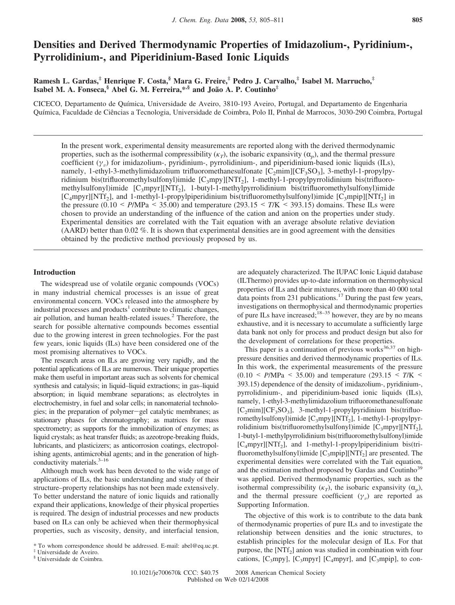# **Densities and Derived Thermodynamic Properties of Imidazolium-, Pyridinium-, Pyrrolidinium-, and Piperidinium-Based Ionic Liquids**

## **Ramesh L. Gardas,‡ Henrique F. Costa,§ Mara G. Freire,‡ Pedro J. Carvalho,‡ Isabel M. Marrucho,‡ Isabel M. A. Fonseca,§ Abel G. M. Ferreira,\*,§ and João A. P. Coutinho‡**

CICECO, Departamento de Química, Universidade de Aveiro, 3810-193 Aveiro, Portugal, and Departamento de Engenharia Química, Faculdade de Ciências a Tecnologia, Universidade de Coimbra, Polo II, Pinhal de Marrocos, 3030-290 Coimbra, Portugal

In the present work, experimental density measurements are reported along with the derived thermodynamic properties, such as the isothermal compressibility  $(\kappa_T)$ , the isobaric expansivity  $(\alpha_p)$ , and the thermal pressure coefficient  $(\gamma_v)$  for imidazolium-, pyridinium-, pyrrolidinium-, and piperidinium-based ionic liquids (ILs), namely, 1-ethyl-3-methylimidazolium trifluoromethanesulfonate  $[C_2min][CF_3SO_3]$ , 3-methyl-1-propylpyridinium bis(trifluoromethylsulfonyl)imide  $[C_3mpy][NTf_2]$ , 1-methyl-1-propylpyrrolidinium bis(trifluoromethylsulfonyl)imide [C<sub>3</sub>mpyr][NTf<sub>2</sub>], 1-butyl-1-methylpyrrolidinium bis(trifluoromethylsulfonyl)imide  $[C_4$ mpyr][NTf<sub>2</sub>], and 1-methyl-1-propylpiperidinium bis(trifluoromethylsulfonyl)imide  $[C_3$ mpip][NTf<sub>2</sub>] in the pressure  $(0.10 \leq P/MPa \leq 35.00)$  and temperature  $(293.15 \leq T/K \leq 393.15)$  domains. These ILs were chosen to provide an understanding of the influence of the cation and anion on the properties under study. Experimental densities are correlated with the Tait equation with an average absolute relative deviation (AARD) better than 0.02 %. It is shown that experimental densities are in good agreement with the densities obtained by the predictive method previously proposed by us.

### **Introduction**

The widespread use of volatile organic compounds (VOCs) in many industrial chemical processes is an issue of great environmental concern. VOCs released into the atmosphere by industrial processes and products<sup>1</sup> contribute to climatic changes, air pollution, and human health-related issues.<sup>2</sup> Therefore, the search for possible alternative compounds becomes essential due to the growing interest in green technologies. For the past few years, ionic liquids (ILs) have been considered one of the most promising alternatives to VOCs.

The research areas on ILs are growing very rapidly, and the potential applications of ILs are numerous. Their unique properties make them useful in important areas such as solvents for chemical synthesis and catalysis; in liquid–liquid extractions; in gas–liquid absorption; in liquid membrane separations; as electrolytes in electrochemistry, in fuel and solar cells; in nanomaterial technologies; in the preparation of polymer-gel catalytic membranes; as stationary phases for chromatography; as matrices for mass spectrometry; as supports for the immobilization of enzymes; as liquid crystals; as heat transfer fluids; as azeotrope-breaking fluids, lubricants, and plasticizers; as anticorrosion coatings, electropolishing agents, antimicrobial agents; and in the generation of highconductivity materials.<sup>3-16</sup>

Although much work has been devoted to the wide range of applications of ILs, the basic understanding and study of their structure–property relationships has not been made extensively. To better understand the nature of ionic liquids and rationally expand their applications, knowledge of their physical properties is required. The design of industrial processes and new products based on ILs can only be achieved when their thermophysical properties, such as viscosity, density, and interfacial tension, are adequately characterized. The IUPAC Ionic Liquid database (ILThermo) provides up-to-date information on thermophysical properties of ILs and their mixtures, with more than 40 000 total data points from 231 publications.<sup>17</sup> During the past few years, investigations on thermophysical and thermodynamic properties of pure ILs have increased;18–35 however, they are by no means exhaustive, and it is necessary to accumulate a sufficiently large data bank not only for process and product design but also for the development of correlations for these properties.

This paper is a continuation of previous works $36,37$  on highpressure densities and derived thermodynamic properties of ILs. In this work, the experimental measurements of the pressure (0.10 < *P*/MPa < 35.00) and temperature (293.15 < *T*/K < 393.15) dependence of the density of imidazolium-, pyridinium-, pyrrolidinium-, and piperidinium-based ionic liquids (ILs), namely, 1-ethyl-3-methylimidazolium trifluoromethanesulfonate  $[C_2min][CF_3SO_3]$ , 3-methyl-1-propylpyridinium bis(trifluoromethylsulfonyl)imide [C<sub>3</sub>mpy][NTf<sub>2</sub>], 1-methyl-1-propylpyrrolidinium bis(trifluoromethylsulfonyl)imide  $[C_3mpyr][NTf_2]$ , 1-butyl-1-methylpyrrolidinium bis(trifluoromethylsulfonyl)imide [C<sub>4</sub>mpyr][NTf<sub>2</sub>], and 1-methyl-1-propylpiperidinium bis(trifluoromethylsulfonyl)imide  $[C_3mpip][NTf_2]$  are presented. The experimental densities were correlated with the Tait equation, and the estimation method proposed by Gardas and Coutinho<sup>39</sup> was applied. Derived thermodynamic properties, such as the isothermal compressibility  $(\kappa_T)$ , the isobaric expansivity  $(\alpha_p)$ , and the thermal pressure coefficient  $(\gamma_v)$  are reported as Supporting Information.

The objective of this work is to contribute to the data bank of thermodynamic properties of pure ILs and to investigate the relationship between densities and the ionic structures, to establish principles for the molecular design of ILs. For that purpose, the [NTf<sub>2</sub>] anion was studied in combination with four cations, [ $C_3$ mpy], [ $C_3$ mpyr] [ $C_4$ mpyr], and [ $C_3$ mpip], to con-

<sup>\*</sup> To whom correspondence should be addressed. E-mail: abel@eq.uc.pt.

<sup>‡</sup> Universidade de Aveiro. § Universidade de Coimbra.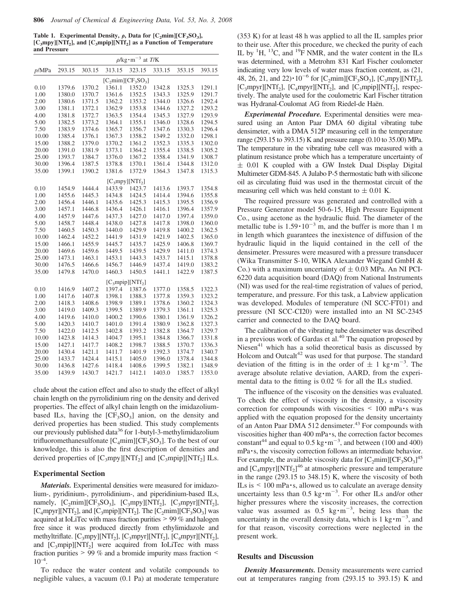**Table 1. Experimental Density,**  $\rho$ **, Data for**  $[C_2 \text{min}][CF_3 SO_3]$ **, [C3mpy][NTf<sup>2</sup> ], and [C3mpip][NTf<sup>2</sup> ] as a Function of Temperature and Pressure**

|                      | $\rho$ /kg·m <sup>-3</sup> at T/K |        |        |                    |        |        |        |  |  |
|----------------------|-----------------------------------|--------|--------|--------------------|--------|--------|--------|--|--|
| p/MPa                | 293.15                            | 303.15 | 313.15 | 323.15             | 333.15 | 353.15 | 393.15 |  |  |
| $[C_2min][CF_3SO_3]$ |                                   |        |        |                    |        |        |        |  |  |
| 0.10                 | 1379.6                            | 1370.2 | 1361.1 | 1352.0             | 1342.8 | 1325.3 | 1291.1 |  |  |
| 1.00                 | 1380.0                            | 1370.7 | 1361.6 | 1352.5             | 1343.3 | 1325.9 | 1291.7 |  |  |
| 2.00                 | 1380.6                            | 1371.5 | 1362.2 | 1353.2             | 1344.0 | 1326.6 | 1292.4 |  |  |
| 3.00                 | 1381.1                            | 1372.1 | 1362.9 | 1353.8             | 1344.6 | 1327.2 | 1293.2 |  |  |
| 4.00                 | 1381.8                            | 1372.7 | 1363.5 | 1354.4             | 1345.3 | 1327.9 | 1293.9 |  |  |
| 5.00                 | 1382.5                            | 1373.2 | 1364.1 | 1355.1             | 1346.0 | 1328.6 | 1294.5 |  |  |
| 7.50                 | 1383.9                            | 1374.6 | 1365.7 | 1356.7             | 1347.6 | 1330.3 | 1296.4 |  |  |
| 10.00                | 1385.4                            | 1376.1 | 1367.3 | 1358.2             | 1349.2 | 1332.0 | 1298.1 |  |  |
| 15.00                | 1388.2                            | 1379.0 | 1370.2 | 1361.2             | 1352.3 | 1335.3 | 1302.0 |  |  |
| 20.00                | 1391.0                            | 1381.9 | 1373.1 | 1364.2             | 1355.4 | 1338.5 | 1305.2 |  |  |
| 25.00                | 1393.7                            | 1384.7 | 1376.0 | 1367.2             | 1358.4 | 1341.9 | 1308.7 |  |  |
| 30.00                | 1396.4                            | 1387.5 | 1378.8 | 1370.1             | 1361.4 | 1344.8 | 1312.0 |  |  |
| 35.00                | 1399.1                            | 1390.2 | 1381.6 | 1372.9             | 1364.3 | 1347.8 | 1315.3 |  |  |
| $[C_3mpy][NTf_2]$    |                                   |        |        |                    |        |        |        |  |  |
| 0.10                 | 1454.9                            | 1444.4 | 1433.9 | 1423.7             | 1413.6 | 1393.7 | 1354.8 |  |  |
| 1.00                 | 1455.6                            | 1445.3 | 1434.8 | 1424.5             | 1414.4 | 1394.6 | 1355.8 |  |  |
| 2.00                 | 1456.4                            | 1446.1 | 1435.6 | 1425.3             | 1415.3 | 1395.5 | 1356.9 |  |  |
| 3.00                 | 1457.1                            | 1446.8 | 1436.4 | 1426.1             | 1416.1 | 1396.4 | 1357.9 |  |  |
| 4.00                 | 1457.9                            | 1447.6 | 1437.3 | 1427.0             | 1417.0 | 1397.4 | 1359.0 |  |  |
| 5.00                 | 1458.7                            | 1448.4 | 1438.0 | 1427.8             | 1417.8 | 1398.0 | 1360.0 |  |  |
| 7.50                 | 1460.5                            | 1450.3 | 1440.0 | 1429.9             | 1419.8 | 1400.2 | 1362.5 |  |  |
| 10.00                | 1462.4                            | 1452.2 | 1441.9 | 1431.9             | 1421.9 | 1402.5 | 1365.0 |  |  |
| 15.00                | 1466.1                            | 1455.9 | 1445.7 | 1435.7             | 1425.9 | 1406.8 | 1369.7 |  |  |
| 20.00                | 1469.6                            | 1459.6 | 1449.5 | 1439.5             | 1429.9 | 1411.0 | 1374.3 |  |  |
| 25.00                | 1473.1                            | 1463.1 | 1453.1 | 1443.3             | 1433.7 | 1415.1 | 1378.8 |  |  |
| 30.00                | 1476.5                            | 1466.6 | 1456.7 | 1446.9             | 1437.4 | 1419.0 | 1383.2 |  |  |
| 35.00                | 1479.8                            | 1470.0 | 1460.3 | 1450.5             | 1441.1 | 1422.9 | 1387.5 |  |  |
|                      |                                   |        |        | $[C_3mpip][NTf_2]$ |        |        |        |  |  |
| 0.10                 | 1416.9                            | 1407.2 | 1397.4 | 1387.6             | 1377.0 | 1358.5 | 1322.3 |  |  |
| 1.00                 | 1417.6                            | 1407.8 | 1398.1 | 1388.3             | 1377.8 | 1359.3 | 1323.2 |  |  |
| 2.00                 | 1418.3                            | 1408.6 | 1398.9 | 1389.1             | 1378.6 | 1360.2 | 1324.3 |  |  |
| 3.00                 | 1419.0                            | 1409.3 | 1399.5 | 1389.9             | 1379.3 | 1361.1 | 1325.3 |  |  |
| 4.00                 | 1419.6                            | 1410.0 | 1400.2 | 1390.6             | 1380.1 | 1361.9 | 1326.2 |  |  |
| 5.00                 | 1420.3                            | 1410.7 | 1401.0 | 1391.4             | 1380.9 | 1362.8 | 1327.3 |  |  |
| 7.50                 | 1422.0                            | 1412.5 | 1402.8 | 1393.2             | 1382.8 | 1364.7 | 1329.7 |  |  |
| 10.00                | 1423.8                            | 1414.3 | 1404.7 | 1395.1             | 1384.8 | 1366.7 | 1331.8 |  |  |
| 15.00                | 1427.1                            | 1417.7 | 1408.2 | 1398.7             | 1388.5 | 1370.7 | 1336.3 |  |  |
| 20.00                | 1430.4                            | 1421.1 | 1411.7 | 1401.9             | 1392.3 | 1374.7 | 1340.7 |  |  |
| 25.00                | 1433.7                            | 1424.4 | 1415.1 | 1405.0             | 1396.0 | 1378.4 | 1344.8 |  |  |
| 30.00                | 1436.8                            | 1427.6 | 1418.4 | 1408.6             | 1399.5 | 1382.1 | 1348.9 |  |  |
| 35.00                | 1439.9                            | 1430.7 | 1421.7 | 1412.1             | 1403.0 | 1385.7 | 1353.0 |  |  |

clude about the cation effect and also to study the effect of alkyl chain length on the pyrrolidinium ring on the density and derived properties. The effect of alkyl chain length on the imidazoliumbased ILs, having the  $[CF<sub>3</sub>SO<sub>3</sub>]$  anion, on the density and derived properties has been studied. This study complements our previously published data<sup>36</sup> for 1-butyl-3-methylimidazolium trifluoromethanesulfonate  $[C_4 \text{min}][CF_3 SO_3]$ . To the best of our knowledge, this is also the first description of densities and derived properties of  $[C_3mpy][NTf_2]$  and  $[C_3mpip][NTf_2]$  ILs.

### **Experimental Section**

*Materials.* Experimental densities were measured for imidazolium-, pyridinium-, pyrrolidinium-, and piperidinium-based ILs, namely,  $[C_2 \text{mim}][CF_3 SO_3]$ ,  $[C_3 \text{mpy}][NTf_2]$ ,  $[C_3 \text{mpyr}][NTf_2]$ , [ $C_4$ mpyr][NTf<sub>2</sub>], and [ $C_3$ mpip][NTf<sub>2</sub>]. The [ $C_2$ mim][ $CF_3SO_3$ ] was acquired at IoLiTec with mass fraction purities > 99 % and halogen free since it was produced directly from ethylimidazole and methyltriflate.  $[C_3mpy][NTf_2]$ ,  $[C_3mpyr][NTf_2]$ ,  $[C_4mpyr][NTf_2]$ , and  $[C_3mpip][NTf_2]$  were acquired from IoLiTec with mass fraction purities > 99 % and a bromide impurity mass fraction <  $10^{-4}$ .

To reduce the water content and volatile compounds to negligible values, a vacuum (0.1 Pa) at moderate temperature (353 K) for at least 48 h was applied to all the IL samples prior to their use. After this procedure, we checked the purity of each IL by  ${}^{1}H$ ,  ${}^{13}C$ , and  ${}^{19}F$  NMR, and the water content in the ILs was determined, with a Metrohm 831 Karl Fischer coulometer indicating very low levels of water mass fraction content, as (21, 48, 26, 21, and 22) $\cdot 10^{-6}$  for [C<sub>2</sub>mim][CF<sub>3</sub>SO<sub>3</sub>], [C<sub>3</sub>mpy][NTf<sub>2</sub>], [ $C_3$ mpyr][NTf<sub>2</sub>], [ $C_4$ mpyr][NTf<sub>2</sub>], and [ $C_3$ mpip][NTf<sub>2</sub>], respectively. The analyte used for the coulometric Karl Fischer titration was Hydranal-Coulomat AG from Riedel-de Haën.

*Experimental Procedure.* Experimental densities were measured using an Anton Paar DMA 60 digital vibrating tube densimeter, with a DMA 512P measuring cell in the temperature range (293.15 to 393.15) K and pressure range (0.10 to 35.00) MPa. The temperature in the vibrating tube cell was measured with a platinum resistance probe which has a temperature uncertainty of  $\pm$  0.01 K coupled with a GW Instek Dual Display Digital Multimeter GDM-845. A Julabo P-5 thermostatic bath with silicone oil as circulating fluid was used in the thermostat circuit of the measuring cell which was held constant to  $\pm$  0.01 K.

The required pressure was generated and controlled with a Pressure Generator model 50-6-15, High Pressure Equipment Co., using acetone as the hydraulic fluid. The diameter of the metallic tube is  $1.59 \cdot 10^{-3}$  m, and the buffer is more than 1 m in length which guarantees the inexistence of diffusion of the hydraulic liquid in the liquid contained in the cell of the densimeter. Pressures were measured with a pressure transducer (Wika Transmitter S-10, WIKA Alexander Wiegand GmbH & Co.) with a maximum uncertainty of  $\pm$  0.03 MPa. An NI PCI-6220 data acquisition board (DAQ) from National Instruments (NI) was used for the real-time registration of values of period, temperature, and pressure. For this task, a Labview application was developed. Modules of temperature (NI SCC-FT01) and pressure (NI SCC-CI20) were installed into an NI SC-2345 carrier and connected to the DAQ board.

The calibration of the vibrating tube densimeter was described in a previous work of Gardas et al.<sup>40</sup> The equation proposed by Niesen $41$  which has a solid theoretical basis as discussed by Holcom and Outcal $t^{42}$  was used for that purpose. The standard deviation of the fitting is in the order of  $\pm 1 \text{ kg} \cdot \text{m}^{-3}$ . The average absolute relative deviation, AARD, from the experimental data to the fitting is 0.02 % for all the ILs studied.

The influence of the viscosity on the densities was evaluated. To check the effect of viscosity in the density, a viscosity correction for compounds with viscosities  $\leq 100$  mPa $\cdot$ s was applied with the equation proposed for the density uncertainty of an Anton Paar DMA 512 densimeter.<sup>43</sup> For compounds with viscosities higher than 400 mPa·s, the correction factor becomes constant<sup>44</sup> and equal to  $0.5 \text{ kg} \cdot \text{m}^{-3}$ , and between (100 and 400) mPa ·s, the viscosity correction follows an intermediate behavior. For example, the available viscosity data for  $[C_2 \text{min}][CF_3 SO_3]^{45}$ and  $\left[C_4mpyr\right]\left[NTf_2\right]^{46}$  at atmospheric pressure and temperature in the range (293.15 to 348.15) K, where the viscosity of both ILs is  $\leq 100$  mPa $\cdot$ s, allowed us to calculate an average density uncertainty less than  $0.5 \text{ kg} \cdot \text{m}^{-3}$ . For other ILs and/or other higher pressures where the viscosity increases, the correction value was assumed as  $0.5 \text{ kg} \cdot \text{m}^{-3}$ , being less than the uncertainty in the overall density data, which is  $1 \text{ kg} \cdot \text{m}^{-3}$ , and for that reason, viscosity corrections were neglected in the present work.

### **Results and Discussion**

*Density Measurements.* Density measurements were carried out at temperatures ranging from (293.15 to 393.15) K and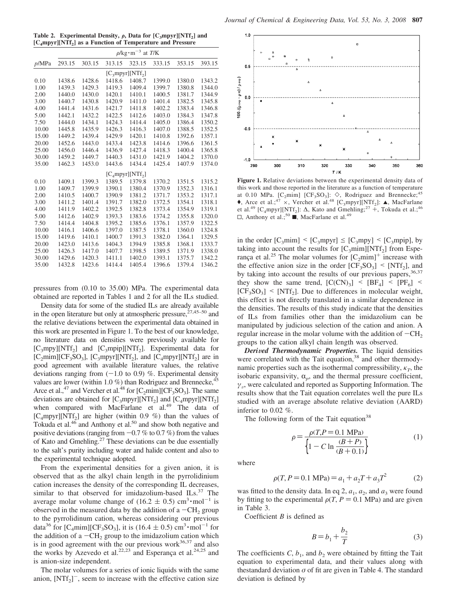**Table 2.** Experimental Density,  $\rho$ , Data for  $[C_3mpyr][NTf_2]$  and **[C4mpyr][NTf<sup>2</sup> ] as a Function of Temperature and Pressure**

|       | $\rho$ /kg·m <sup>-3</sup> at <i>T</i> /K |        |        |        |        |        |        |  |  |
|-------|-------------------------------------------|--------|--------|--------|--------|--------|--------|--|--|
| p/MPa | 293.15                                    | 303.15 | 313.15 | 323.15 | 333.15 | 353.15 | 393.15 |  |  |
|       | $[C_3mpyr][NTf_2]$                        |        |        |        |        |        |        |  |  |
| 0.10  | 1438.6                                    | 1428.6 | 1418.6 | 1408.7 | 1399.0 | 1380.0 | 1343.2 |  |  |
| 1.00  | 1439.3                                    | 1429.3 | 1419.3 | 1409.4 | 1399.7 | 1380.8 | 1344.0 |  |  |
| 2.00  | 1440.0                                    | 1430.0 | 1420.1 | 1410.1 | 1400.5 | 1381.7 | 1344.9 |  |  |
| 3.00  | 1440.7                                    | 1430.8 | 1420.9 | 1411.0 | 1401.4 | 1382.5 | 1345.8 |  |  |
| 4.00  | 1441.4                                    | 1431.6 | 1421.7 | 1411.8 | 1402.2 | 1383.4 | 1346.8 |  |  |
| 5.00  | 1442.1                                    | 1432.2 | 1422.5 | 1412.6 | 1403.0 | 1384.3 | 1347.8 |  |  |
| 7.50  | 1444.0                                    | 1434.1 | 1424.3 | 1414.4 | 1405.0 | 1386.4 | 1350.2 |  |  |
| 10.00 | 1445.8                                    | 1435.9 | 1426.3 | 1416.3 | 1407.0 | 1388.5 | 1352.5 |  |  |
| 15.00 | 1449.2                                    | 1439.4 | 1429.9 | 1420.1 | 1410.8 | 1392.6 | 1357.1 |  |  |
| 20.00 | 1452.6                                    | 1443.0 | 1433.4 | 1423.8 | 1414.6 | 1396.6 | 1361.5 |  |  |
| 25.00 | 1456.0                                    | 1446.4 | 1436.9 | 1427.4 | 1418.3 | 1400.4 | 1365.8 |  |  |
| 30.00 | 1459.2                                    | 1449.7 | 1440.3 | 1431.0 | 1421.9 | 1404.2 | 1370.0 |  |  |
| 35.00 | 1462.3                                    | 1453.0 | 1443.6 | 1434.4 | 1425.4 | 1407.9 | 1374.0 |  |  |
|       | $[C_{4}mpyr][NTf_{2}]$                    |        |        |        |        |        |        |  |  |
| 0.10  | 1409.1                                    | 1399.3 | 1389.5 | 1379.8 | 1370.2 | 1351.5 | 1315.2 |  |  |
| 1.00  | 1409.7                                    | 1399.9 | 1390.1 | 1380.4 | 1370.9 | 1352.3 | 1316.1 |  |  |
| 2.00  | 1410.5                                    | 1400.7 | 1390.9 | 1381.2 | 1371.7 | 1353.2 | 1317.1 |  |  |
| 3.00  | 1411.2                                    | 1401.4 | 1391.7 | 1382.0 | 1372.5 | 1354.1 | 1318.1 |  |  |
| 4.00  | 1411.9                                    | 1402.2 | 1392.5 | 1382.8 | 1373.4 | 1354.9 | 1319.1 |  |  |
| 5.00  | 1412.6                                    | 1402.9 | 1393.3 | 1383.6 | 1374.2 | 1355.8 | 1320.0 |  |  |
| 7.50  | 1414.4                                    | 1404.8 | 1395.2 | 1385.6 | 1376.1 | 1357.9 | 1322.5 |  |  |
| 10.00 | 1416.1                                    | 1406.6 | 1397.0 | 1387.5 | 1378.1 | 1360.0 | 1324.8 |  |  |
| 15.00 | 1419.6                                    | 1410.1 | 1400.7 | 1391.3 | 1382.0 | 1364.1 | 1329.5 |  |  |
| 20.00 | 1423.0                                    | 1413.6 | 1404.3 | 1394.9 | 1385.8 | 1368.1 | 1333.7 |  |  |
| 25.00 | 1426.3                                    | 1417.0 | 1407.7 | 1398.5 | 1389.5 | 1371.9 | 1338.0 |  |  |
| 30.00 | 1429.6                                    | 1420.3 | 1411.1 | 1402.0 | 1393.1 | 1375.7 | 1342.2 |  |  |
| 35.00 | 1432.8                                    | 1423.6 | 1414.4 | 1405.4 | 1396.6 | 1379.4 | 1346.2 |  |  |

pressures from (0.10 to 35.00) MPa. The experimental data obtained are reported in Tables 1 and 2 for all the ILs studied.

Density data for some of the studied ILs are already available in the open literature but only at atmospheric pressure,  $27,45-50$  and the relative deviations between the experimental data obtained in this work are presented in Figure 1. To the best of our knowledge, no literature data on densities were previously available for  $[C_3mpy][NTf_2]$  and  $[C_3mpip][NTf_2]$ . Experimental data for  $[C_2min][CF_3SO_3]$ ,  $[C_3mpyr][NTf_2]$ , and  $[C_4mpyr][NTf_2]$  are in good agreement with available literature values, the relative deviations ranging from  $(-1.0 \text{ to } 0.9)$  %. Experimental density values are lower (within 1.0  $\%$ ) than Rodriguez and Brennecke,  $45$ Arce et al.,<sup>47</sup> and Vercher et al.<sup>48</sup> for  $[C_2min][CF_3SO_3]$ . The same deviations are obtained for  $[C_3mpyr][NTf_2]$  and  $[C_4mpyr][NTf_2]$ when compared with MacFarlane et al.<sup>49</sup> The data of [C<sub>4</sub>mpyr][NTf<sub>2</sub>] are higher (within 0.9 %) than the values of Tokuda et al.<sup>46</sup> and Anthony et al.<sup>50</sup> and show both negative and positive deviations (ranging from  $-0.7$  % to 0.7 %) from the values of Kato and Gmehling.<sup>27</sup> These deviations can be due essentially to the salt's purity including water and halide content and also to the experimental technique adopted.

From the experimental densities for a given anion, it is observed that as the alkyl chain length in the pyrrolidinium cation increases the density of the corresponding IL decreases, similar to that observed for imidazolium-based ILs.<sup>37</sup> The average molar volume change of  $(16.2 \pm 0.5)$  cm<sup>3</sup>·mol<sup>-1</sup> is observed in the measured data by the addition of a  $-CH<sub>2</sub>$  group to the pyrrolidinum cation, whereas considering our previous data<sup>36</sup> for [C<sub>4</sub>mim][CF<sub>3</sub>SO<sub>3</sub>], it is (16.4  $\pm$  0.5) cm<sup>3</sup>·mol<sup>-1</sup> for the addition of a  $-CH<sub>2</sub>$  group to the imidazolium cation which is in good agreement with the our previous work $36,37$  and also the works by Azevedo et al.<sup>22,23</sup> and Esperança et al.<sup>24,25</sup> and is anion-size independent.

The molar volumes for a series of ionic liquids with the same anion,  $[NTf_2]$ <sup>-</sup>, seem to increase with the effective cation size



**Figure 1.** Relative deviations between the experimental density data of this work and those reported in the literature as a function of temperature at 0.10 MPa. [ $C_2$ mim] [CF<sub>3</sub>SO<sub>3</sub>]:  $\diamond$ , Rodriguez and Brennecke;<sup>45</sup> ◆, Arce et al.;<sup>47</sup> ×, Vercher et al.<sup>48</sup> [C<sub>3</sub>mpyr][NTf<sub>2</sub>]: ▲, MacFarlane et al.<sup>49</sup> [C<sub>4</sub>mpyr][NTf<sub>2</sub>]:  $\Delta$ , Kato and Gmehling;<sup>27</sup> +, Tokuda et al.;<sup>46</sup>  $\Box$ , Anthony et al.;<sup>50</sup>, MacFarlane et al.<sup>49</sup>

in the order  $[C_3mim] \leq [C_3mpyr] \leq [C_3mpy] \leq [C_3mpip]$ , by taking into account the results for  $[C_3$ mim][NTf<sub>2</sub>] from Esperança et al.<sup>25</sup> The molar volumes for  $[C_2mim]$ <sup>+</sup> increase with the effective anion size in the order  $[CF_3SO_3] \leq [NTf_2]$ , and by taking into account the results of our previous papers,  $36,37$ they show the same trend,  $[C(CN)_3] < [BF_4] < [PF_6] <$  $[CF<sub>3</sub>SO<sub>3</sub>]$  < [NTf<sub>2</sub>]. Due to differences in molecular weight, this effect is not directly translated in a similar dependence in the densities. The results of this study indicate that the densities of ILs from families other than the imidazolium can be manipulated by judicious selection of the cation and anion. A regular increase in the molar volume with the addition of  $-CH<sub>2</sub>$ groups to the cation alkyl chain length was observed.

*Derived Thermodynamic Properties.* The liquid densities were correlated with the Tait equation,<sup>38</sup> and other thermodynamic properties such as the isothermal compressibility,  $\kappa_T$ , the isobaric expansivity,  $\alpha_p$ , and the thermal pressure coefficient,  $\gamma_v$ , were calculated and reported as Supporting Information. The results show that the Tait equation correlates well the pure ILs studied with an average absolute relative deviation (AARD) inferior to 0.02 %.

The following form of the Tait equation<sup>38</sup>

$$
\rho = \frac{\rho(T, P = 0.1 \text{ MPa})}{\left\{1 - C \ln \frac{(B + P)}{(B + 0.1)}\right\}}
$$
(1)

where

$$
\rho(T, P = 0.1 \text{ MPa}) = a_1 + a_2 T + a_3 T^2 \tag{2}
$$

was fitted to the density data. In eq 2,  $a_1$ ,  $a_2$ , and  $a_3$  were found by fitting to the experimental  $\rho(T, P = 0.1 \text{ MPa})$  and are given in Table 3.

Coefficient *B* is defined as

$$
B = b_1 + \frac{b_2}{T}
$$
 (3)

The coefficients  $C$ ,  $b_1$ , and  $b_2$  were obtained by fitting the Tait equation to experimental data, and their values along with thestandard deviation  $\sigma$  of fit are given in Table 4. The standard deviation is defined by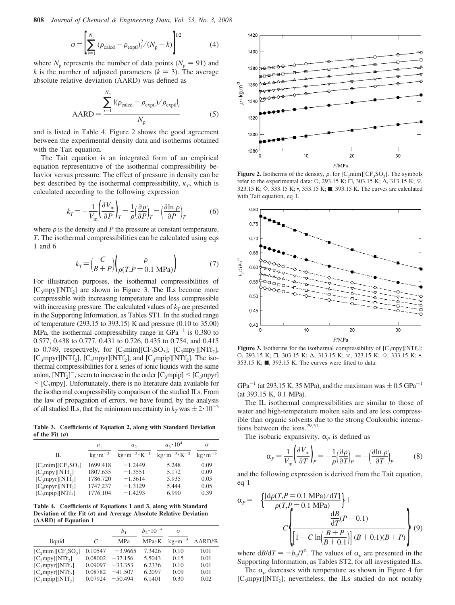**808** *Journal of Chemical & Engineering Data, Vol. 53, No. 3, 2008*

$$
\sigma = \left[ \sum_{i=1}^{N_{\rm p}} (\rho_{\rm{calcd}} - \rho_{\rm{expl}})_i^2 / (N_{\rm p} - k) \right]^{1/2}
$$
(4)

where  $N_p$  represents the number of data points ( $N_p = 91$ ) and *k* is the number of adjusted parameters  $(k = 3)$ . The average absolute relative deviation (AARD) was defined as

$$
AARD = \frac{\sum_{i=1}^{N_p} |(\rho_{\text{calcd}} - \rho_{\text{exptl}})/\rho_{\text{exptl}}|_i}{N_p}
$$
(5)

and is listed in Table 4. Figure 2 shows the good agreement between the experimental density data and isotherms obtained with the Tait equation.

The Tait equation is an integrated form of an empirical equation representative of the isothermal compressibility behavior versus pressure. The effect of pressure in density can be best described by the isothermal compressibility,  $\kappa_T$ , which is calculated according to the following expression

$$
k_T = -\frac{1}{V_m} \left(\frac{\partial V_m}{\partial P}\right)_T = \frac{1}{\rho} \left(\frac{\partial \rho}{\partial P}\right)_T = \left(\frac{\partial \ln \rho}{\partial P}\right)_T\tag{6}
$$

where  $\rho$  is the density and *P* the pressure at constant temperature, *T*. The isothermal compressibilities can be calculated using eqs 1 and 6

$$
k_T = \left(\frac{C}{B+P}\right) \left(\frac{\rho}{\rho(T, P = 0.1 \text{ MPa})}\right) \tag{7}
$$

For illustration purposes, the isothermal compressibilities of  $[C_3mpy][NTf_2]$  are shown in Figure 3. The ILs become more compressible with increasing temperature and less compressible with increasing pressure. The calculated values of  $k_T$  are presented in the Supporting Information, as Tables ST1. In the studied range of temperature (293.15 to 393.15) K and pressure (0.10 to 35.00) MPa, the isothermal compressibility range in  $GPa^{-1}$  is 0.380 to 0.577, 0.438 to 0.777, 0.431 to 0.726, 0.435 to 0.754, and 0.415 to 0.749, respectively, for  $[C_2 \text{min}][CF_3 SO_3]$ ,  $[C_3 \text{mpy}][NTf_2]$ ,  $[C_3mpyr][NTf_2]$ ,  $[C_4mpyr][NTf_2]$ , and  $[C_3mpip][NTf_2]$ . The isothermal compressibilities for a series of ionic liquids with the same anion,  $[NTf_2]$ <sup>-</sup>, seem to increase in the order  $[C_3mpip] < [C_3mpyr]$  $\leq$  [C<sub>3</sub>mpy]. Unfortunately, there is no literature data available for the isothermal compressibility comparison of the studied ILs. From the law of propagation of errors, we have found, by the analysis of all studied ILs, that the minimum uncertainty in  $k_T$  was  $\pm 2 \cdot 10^{-3}$ 

**Table 3. Coefficients of Equation 2, along with Standard Deviation of the Fit**  $(\sigma)$ 

|                                          | a <sub>1</sub>    | a <sub>2</sub>                                  | $a_3 \cdot 10^4$                                | σ                             |
|------------------------------------------|-------------------|-------------------------------------------------|-------------------------------------------------|-------------------------------|
| П.                                       | $kg \cdot m^{-3}$ | $\text{kg}\cdot\text{m}^{-3}\cdot\text{K}^{-1}$ | $\text{kg}\cdot\text{m}^{-3}\cdot\text{K}^{-2}$ | $\text{kg}\cdot\text{m}^{-3}$ |
| $[C_2min][CF_3SO_3]$                     | 1699.418          | $-1.2449$                                       | 5.248                                           | 0.09                          |
| [C <sub>3</sub> mpy][NTf <sub>2</sub> ]  | 1807.635          | $-1.3551$                                       | 5.172                                           | 0.09                          |
| $[C_3mpyr][NTf_2]$                       | 1786.720          | $-1.3614$                                       | 5.935                                           | 0.05                          |
| $[C_4mpyr][NTf_2]$                       | 1747.237          | $-1.3129$                                       | 5.444                                           | 0.05                          |
| [C <sub>3</sub> mpip][NTf <sub>2</sub> ] | 1776.104          | $-1.4293$                                       | 6.990                                           | 0.39                          |

**Table 4. Coefficients of Equations 1 and 3, along with Standard Deviation of the Fit (**σ**) and Average Absolute Relative Deviation (AARD) of Equation 1**

|                                          |         | b <sub>1</sub> | $b_2 \cdot 10^{-4}$ | σ                               |          |
|------------------------------------------|---------|----------------|---------------------|---------------------------------|----------|
| liquid                                   | C       | MPa            |                     | $MPa \cdot K$ kg $\cdot m^{-3}$ | $AARD\%$ |
| $[C2min][CF3SO3]$                        | 0.10547 | $-3.9665$      | 7.3426              | 0.10                            | 0.01     |
| [C <sub>3</sub> mpy][NTf <sub>2</sub> ]  | 0.08002 | $-37.156$      | 5.5043              | 0.15                            | 0.01     |
| [C <sub>3</sub> mpyr][NTf <sub>2</sub> ] | 0.09097 | $-33.353$      | 6.2336              | 0.10                            | 0.01     |
| $[C_{4}mpyr][NTf_{2}]$                   | 0.08782 | $-41.507$      | 6.2097              | 0.09                            | 0.01     |
| [C <sub>3</sub> mpip][NTf <sub>2</sub> ] | 0.07924 | $-50.494$      | 6.1401              | 0.30                            | 0.02     |



**Figure 2.** Isotherms of the density,  $\rho$ , for  $[C_2 \text{min}][CF_3SO_3]$ . The symbols refer to the experimental data: O, 293.15 K; □, 303.15 K;  $\Delta$ , 313.15 K;  $\nabla$ , 323.15 K; ◇, 333.15 K; •, 353.15 K; ■, 393.15 K. The curves are calculated with Tait equation, eq 1.



**Figure 3.** Isotherms for the isothermal compressibility of  $[C_3mpy][NTf_2]$ : O, 293.15 K;  $□$ , 303.15 K;  $∆$ , 313.15 K;  $∇$ , 323.15 K;  $\diamond$ , 333.15 K; •, 353.15 K;  $\blacksquare$ , 393.15 K. The curves were fitted to data.

 $GPa^{-1}$  (at 293.15 K, 35 MPa), and the maximum was  $\pm$  0.5  $GPa^{-1}$ (at 393.15 K, 0.1 MPa).

The IL isothermal compressibilities are similar to those of water and high-temperature molten salts and are less compressible than organic solvents due to the strong Coulombic interactions between the ions.<sup>29,51</sup>

The isobaric expansivity,  $\alpha_P$  is defined as

$$
\alpha_P = \frac{1}{V_m} \left( \frac{\partial V_m}{\partial T} \right)_P = -\frac{1}{\rho} \left( \frac{\partial \rho}{\partial T} \right)_P = -\left( \frac{\partial \ln \rho}{\partial T} \right)_P \tag{8}
$$

and the following expression is derived from the Tait equation, eq 1

$$
\alpha_{P} = -\left\{\frac{[d\rho(T, P = 0.1 \text{ MPa})/dT]}{\rho(T, P = 0.1 \text{ MPa})}\right\} +
$$

$$
C\left\{\frac{\frac{dB}{dT}(P - 0.1)}{\left[1 - C\ln\left(\frac{B + P}{B + 0.1}\right)\right](B + 0.1)(B + P)}\right\} (9)
$$

where  $dB/dT = -b_2/T^2$ . The values of  $\alpha_p$  are presented in the Supporting Information, as Tables ST2, for all investigated ILs.

The  $\alpha$ <sub>p</sub> decreases with temperature as shown in Figure 4 for [C<sub>3</sub>mpyr][NTf<sub>2</sub>]; nevertheless, the ILs studied do not notably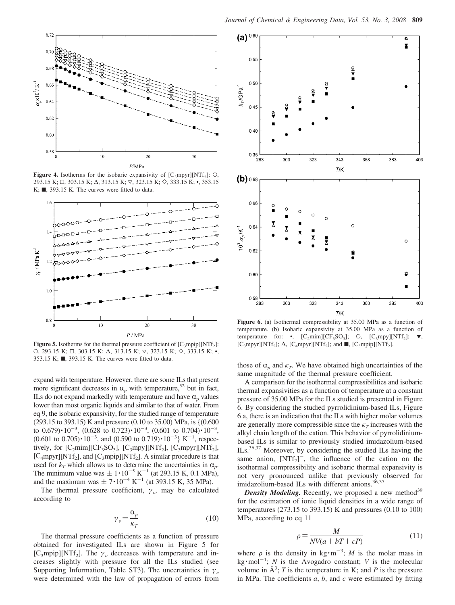

**Figure 4.** Isotherms for the isobaric expansivity of  $[C_3mpyr][NTf_2]$ : O, 293.15 K; □, 303.15 K; △, 313.15 K; ▽, 323.15 K; ◇, 333.15 K; •, 353.15 K;  $\blacksquare$ , 393.15 K. The curves were fitted to data.



**Figure 5.** Isotherms for the thermal pressure coefficient of  $[C_3mpip][NTf_2]$ : O, 293.15 K; □, 303.15 K; Δ, 313.15 K;  $\triangledown$ , 323.15 K;  $\diamond$ , 333.15 K; •, 353.15 K; ■, 393.15 K. The curves were fitted to data.

expand with temperature. However, there are some ILs that present more significant decreases in  $\alpha_p$  with temperature,<sup>52</sup> but in fact, ILs do not expand markedly with temperature and have  $\alpha$ <sub>n</sub> values lower than most organic liquids and similar to that of water. From eq 9, the isobaric expansivity, for the studied range of temperature (293.15 to 393.15) K and pressure (0.10 to 35.00) MPa, is {(0.600 to  $0.679$ ) $\cdot 10^{-3}$ ,  $(0.628 \text{ to } 0.723) \cdot 10^{-3}$ ,  $(0.601 \text{ to } 0.704) \cdot 10^{-3}$ ,  $(0.601 \text{ to } 0.705) \cdot 10^{-3}$ , and  $(0.590 \text{ to } 0.719) \cdot 10^{-3}$  K<sup>-1</sup>, respectively, for  $[C_2 \text{mim}][CF_3SO_3]$ ,  $[C_3 \text{mpy}][NTf_2]$ ,  $[C_3 \text{mpyr}][NTf_2]$ ,  $[C_4mpyr][NTf_2]$ , and  $[C_3mpip][NTf_2]$ . A similar procedure is that used for  $k_T$  which allows us to determine the uncertainties in  $\alpha_p$ . The minimum value was  $\pm 1 \cdot 10^{-5}$  K<sup>-1</sup> (at 293.15 K, 0.1 MPa), and the maximum was  $\pm 7 \cdot 10^{-4}$  K<sup>-1</sup> (at 393.15 K, 35 MPa).

The thermal pressure coefficient,  $\gamma_{\nu}$ , may be calculated according to

$$
\gamma_{\nu} = \frac{\alpha_{p}}{\kappa_{T}} \tag{10}
$$

The thermal pressure coefficients as a function of pressure obtained for investigated ILs are shown in Figure 5 for [C<sub>3</sub>mpip][NTf<sub>2</sub>]. The  $\gamma_v$  decreases with temperature and increases slightly with pressure for all the ILs studied (see Supporting Information, Table ST3). The uncertainties in  $\gamma_{\nu}$ were determined with the law of propagation of errors from



**Figure 6.** (a) Isothermal compressibility at 35.00 MPa as a function of temperature. (b) Isobaric expansivity at 35.00 MPa as a function of temperature for: •,  $[C_2 \text{min}][CF_3SO_3]$ ;  $\circ$ ,  $[C_3 \text{mpy}][NTf_2]$ ;  $\blacktriangledown$ , [C<sub>3</sub>mpyr][NTf<sub>2</sub>];  $\Delta$ , [C<sub>4</sub>mpyr][NTf<sub>2</sub>]; and **I**, [C<sub>3</sub>mpip][NTf<sub>2</sub>].

those of  $\alpha_p$  and  $\kappa_T$ . We have obtained high uncertainties of the same magnitude of the thermal pressure coefficient.

A comparison for the isothermal compressibilities and isobaric thermal expansivities as a function of temperature at a constant pressure of 35.00 MPa for the ILs studied is presented in Figure 6. By considering the studied pyrrolidinium-based ILs, Figure 6 a, there is an indication that the ILs with higher molar volumes are generally more compressible since the  $\kappa_T$  increases with the alkyl chain length of the cation. This behavior of pyrrolidiniumbased ILs is similar to previously studied imidazolium-based ILs.36,37 Moreover, by considering the studied ILs having the same anion,  $[NTf_2]$ <sup>-</sup>, the influence of the cation on the isothermal compressibility and isobaric thermal expansivity is not very pronounced unlike that previously observed for imidazolium-based ILs with different anions.<sup>36,37</sup>

**Density Modeling.** Recently, we proposed a new method<sup>39</sup> for the estimation of ionic liquid densities in a wide range of temperatures (273.15 to 393.15) K and pressures (0.10 to 100) MPa, according to eq 11

$$
\rho = \frac{M}{NV(a + bT + cP)}\tag{11}
$$

where  $\rho$  is the density in kg  $\cdot$  m<sup>-3</sup>; *M* is the molar mass in  $kg \cdot mol^{-1}$ ; *N* is the Avogadro constant; *V* is the molecular volume in  $\mathring{A}^3$ ; *T* is the temperature in K; and *P* is the pressure in MPa. The coefficients *a*, *b*, and *c* were estimated by fitting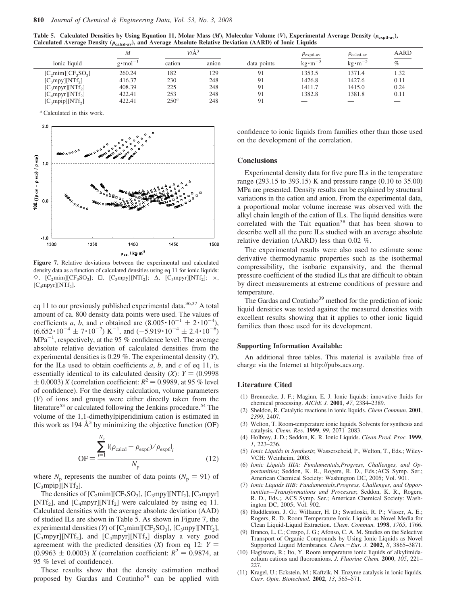**Table 5.** Calculated Densities by Using Equation 11, Molar Mass (*M*), Molecular Volume (*V*), Experimental Average Density ( $\rho_{\text{exnt-av}}$ ), Calculated Average Density ( $\rho_{\rm{calcd-av}}$ ), and Average Absolute Relative Deviation (AARD) of Ionic Liquids

|                                          | $\boldsymbol{M}$   | $V/A^3$ |       |             | $\rho_{\text{exptl-av}}$       | $\rho_{\text{calcd-av}}$ | AARD |
|------------------------------------------|--------------------|---------|-------|-------------|--------------------------------|--------------------------|------|
| ionic liquid                             | $g \cdot mol^{-1}$ | cation  | anion | data points | $\text{kg}\cdot \text{m}^{-3}$ | $kg \cdot m^{-3}$        | $\%$ |
| $[C_2min][CF_3SO_3]$                     | 260.24             | 182     | 129   | 91          | 1353.5                         | 1371.4                   | 1.32 |
| [C <sub>3</sub> mpy][NTf <sub>2</sub> ]  | 416.37             | 230     | 248   | 91          | 1426.8                         | 1427.6                   | 0.11 |
| $[C_3mpyr][NTf_2]$                       | 408.39             | 225     | 248   | 91          | 1411.7                         | 1415.0                   | 0.24 |
| $[C_{4}$ mpyr][NTf <sub>2</sub> ]        | 422.41             | 253     | 248   | 91          | 1382.8                         | 1381.8                   | 0.11 |
| [C <sub>3</sub> mpip][NTf <sub>2</sub> ] | 422.41             | $250^a$ | 248   | 91          |                                |                          |      |

*<sup>a</sup>* Calculated in this work.



**Figure 7.** Relative deviations between the experimental and calculated density data as a function of calculated densities using eq 11 for ionic liquids:  $\Diamond$ , [C<sub>2</sub>mim][CF<sub>3</sub>SO<sub>3</sub>]; □, [C<sub>3</sub>mpy][NTf<sub>2</sub>]; Δ, [C<sub>3</sub>mpyr][NTf<sub>2</sub>]; ×,  $[C_4mpyr][NTf_2].$ 

eq 11 to our previously published experimental data.<sup>36,37</sup> A total amount of ca. 800 density data points were used. The values of coefficients *a*, *b*, and *c* obtained are  $(8.005 \cdot 10^{-1} \pm 2 \cdot 10^{-4})$ ,  $(6.652 \cdot 10^{-4} \pm 7 \cdot 10^{-7})$  K<sup>-1</sup>, and  $(-5.919 \cdot 10^{-4} \pm 2.4 \cdot 10^{-6})$  $MPa^{-1}$ , respectively, at the 95 % confidence level. The average absolute relative deviation of calculated densities from the experimental densities is 0.29 %. The experimental density (*Y*), for the ILs used to obtain coefficients *a*, *b*, and *c* of eq 11, is essentially identical to its calculated density (*X*):  $Y = (0.9998)$  $\pm$  0.0003) *X* (correlation coefficient:  $R^2$  = 0.9989, at 95 % level of confidence). For the density calculation, volume parameters (*V*) of ions and groups were either directly taken from the literature<sup>53</sup> or calculated following the Jenkins procedure.<sup>54</sup> The volume of the 1,1-dimethylpiperidinium cation is estimated in this work as 194  $\AA$ <sup>3</sup> by minimizing the objective function (OF)

$$
\text{OF} = \frac{\sum_{i=1}^{N_{\text{p}}}|(\rho_{\text{calcd}} - \rho_{\text{expl}})/\rho_{\text{expl}}|_{i}}{N_{\text{p}}}
$$
(12)

where  $N_p$  represents the number of data points ( $N_p = 91$ ) of  $[C_3mpip][NTf_2].$ 

The densities of  $[C_2min][CF_3SO_3]$ ,  $[C_3mpy][NTf_2]$ ,  $[C_3mpyr]$ [NTf<sub>2</sub>], and [C<sub>4</sub>mpyr][NTf<sub>2</sub>] were calculated by using eq 11. Calculated densities with the average absolute deviation (AAD) of studied ILs are shown in Table 5. As shown in Figure 7, the experimental densities (*Y*) of  $[C_2mim][CF_3SO_3]$ ,  $[C_3mpy][NTf_2]$ ,  $[C_3mpyr][NTf_2]$ , and  $[C_4mpyr][NTf_2]$  display a very good agreement with the predicted densities  $(X)$  from eq 12:  $Y =$  $(0.9963 \pm 0.0003)$  *X* (correlation coefficient:  $R^2 = 0.9874$ , at 95 % level of confidence).

These results show that the density estimation method proposed by Gardas and Coutinho<sup>39</sup> can be applied with

confidence to ionic liquids from families other than those used on the development of the correlation.

#### **Conclusions**

Experimental density data for five pure ILs in the temperature range (293.15 to 393.15) K and pressure range (0.10 to 35.00) MPa are presented. Density results can be explained by structural variations in the cation and anion. From the experimental data, a proportional molar volume increase was observed with the alkyl chain length of the cation of ILs. The liquid densities were correlated with the Tait equation<sup>38</sup> that has been shown to describe well all the pure ILs studied with an average absolute relative deviation (AARD) less than 0.02 %.

The experimental results were also used to estimate some derivative thermodynamic properties such as the isothermal compressibility, the isobaric expansivity, and the thermal pressure coefficient of the studied ILs that are difficult to obtain by direct measurements at extreme conditions of pressure and temperature.

The Gardas and Coutinho<sup>39</sup> method for the prediction of ionic liquid densities was tested against the measured densities with excellent results showing that it applies to other ionic liquid families than those used for its development.

### **Supporting Information Available:**

An additional three tables. This material is available free of charge via the Internet at http://pubs.acs.org.

### **Literature Cited**

- (1) Brennecke, J. F.; Maginn, E. J. Ionic liquids: innovative fluids for chemical processing. *AIChE J.* **2001**, *47*, 2384–2389.
- (2) Sheldon, R. Catalytic reactions in ionic liquids. *Chem Commun.* **2001**, *2399*, 2407.
- (3) Welton, T. Room-temperature ionic liquids. Solvents for synthesis and catalysis. *Chem. Re*V*.* **1999**, *99*, 2071–2083.
- (4) Holbrey, J. D.; Seddon, K. R. Ionic Liquids. *Clean Prod. Proc.* **1999**, *1*, 223–236.
- (5) *Ionic Liquids in Synthesis*; Wasserscheid, P., Welton, T., Eds.; Wiley-VCH: Weinheim, 2003.
- (6) *Ionic Liquids IIIA: Fundamentals,Progress, Challenges, and Opportunities*; Seddon, K. R., Rogers, R. D., Eds.;ACS Symp. Ser.; American Chemical Society: Washington DC, 2005; Vol. 901.
- (7) *Ionic Liquids IIIB: Fundamentals,Progress, Challenges, and Opportunities—Transformations and Processes*; Seddon, K. R., Rogers, R. D., Eds.;. ACS Symp. Ser.; American Chemical Society: Washington DC, 2005; Vol. 902.
- (8) Huddleston, J. G.; Willauer, H. D.; Swatloski, R. P.; Visser, A. E.; Rogers, R. D. Room Temperature Ionic Liquids as Novel Media for Clean Liquid-Liquid Extraction. *Chem. Commun.* **1998**, *1765*, 1766.
- (9) Branco, L. C.; Crespo, J. G.; Afonso, C. A. M. Studies on the Selective Transport of Organic Compounds by Using Ionic Liquids as Novel Supported Liquid Membranes. *Chem.*-*Eur. J.* **2002**, *8*, 3865–3871.
- (10) Hagiwara, R.; Ito, Y. Room temperature ionic liquids of alkylimidazolium cations and fluoroanions. *J. Fluorine Chem.* **2000**, *105*, 221– 227.
- (11) Kragel, U.; Eckstein, M.; Kaftzik, N. Enzyme catalysis in ionic liquids. *Curr. Opin. Biotechnol.* **2002**, *13*, 565–571.